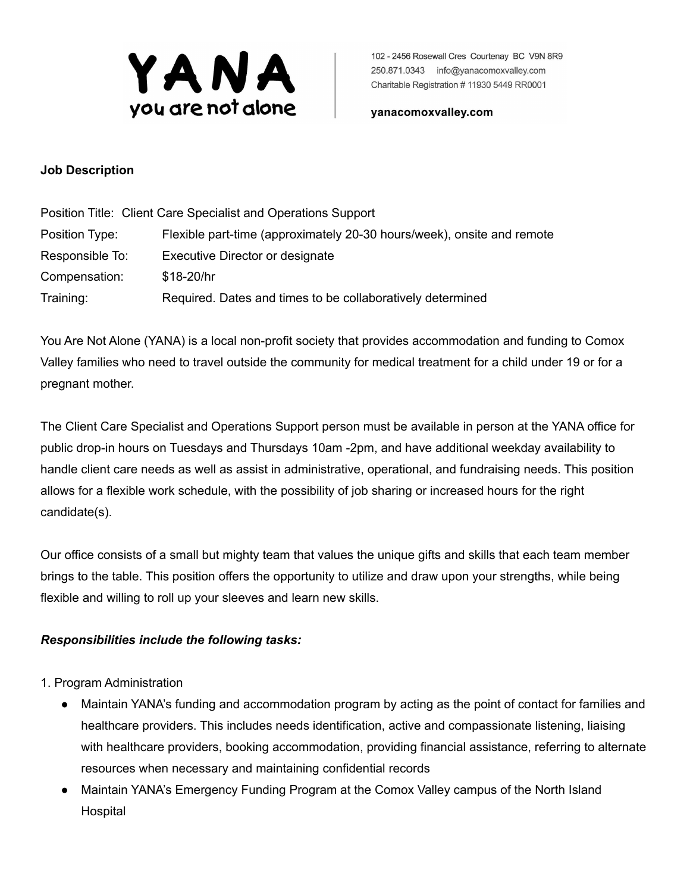

102 - 2456 Rosewall Cres Courtenay BC V9N 8R9 250.871.0343 info@yanacomoxvalley.com Charitable Registration # 11930 5449 RR0001

yanacomoxvalley.com

### **Job Description**

| Position Title: Client Care Specialist and Operations Support |                                                                        |
|---------------------------------------------------------------|------------------------------------------------------------------------|
| Position Type:                                                | Flexible part-time (approximately 20-30 hours/week), onsite and remote |
| Responsible To:                                               | Executive Director or designate                                        |
| Compensation:                                                 | $$18-20/hr$                                                            |
| Training:                                                     | Required. Dates and times to be collaboratively determined             |

You Are Not Alone (YANA) is a local non-profit society that provides accommodation and funding to Comox Valley families who need to travel outside the community for medical treatment for a child under 19 or for a pregnant mother.

The Client Care Specialist and Operations Support person must be available in person at the YANA office for public drop-in hours on Tuesdays and Thursdays 10am -2pm, and have additional weekday availability to handle client care needs as well as assist in administrative, operational, and fundraising needs. This position allows for a flexible work schedule, with the possibility of job sharing or increased hours for the right candidate(s).

Our office consists of a small but mighty team that values the unique gifts and skills that each team member brings to the table. This position offers the opportunity to utilize and draw upon your strengths, while being flexible and willing to roll up your sleeves and learn new skills.

#### *Responsibilities include the following tasks:*

#### 1. Program Administration

- Maintain YANA's funding and accommodation program by acting as the point of contact for families and healthcare providers. This includes needs identification, active and compassionate listening, liaising with healthcare providers, booking accommodation, providing financial assistance, referring to alternate resources when necessary and maintaining confidential records
- Maintain YANA's Emergency Funding Program at the Comox Valley campus of the North Island Hospital